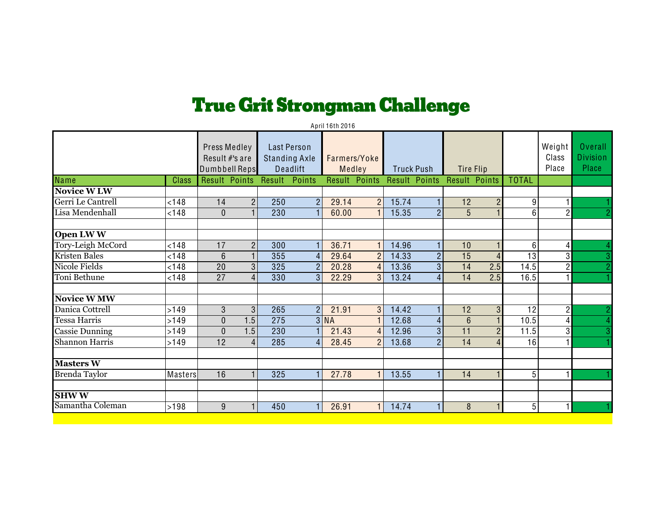## **True Grit Strongman Challenge**

| April 16th 2016        |         |                                                 |                |                                                        |                |                        |                |                   |                      |                  |                |                  |                          |                                            |
|------------------------|---------|-------------------------------------------------|----------------|--------------------------------------------------------|----------------|------------------------|----------------|-------------------|----------------------|------------------|----------------|------------------|--------------------------|--------------------------------------------|
|                        |         | Press Medley<br>Result #'s are<br>Dumbbell Reps |                | <b>Last Person</b><br><b>Standing Axle</b><br>Deadlift |                | Farmers/Yoke<br>Medley |                | <b>Truck Push</b> |                      | <b>Tire Flip</b> |                |                  | Weight<br>Class<br>Place | <b>Overall</b><br><b>Division</b><br>Place |
| <b>Name</b>            | Class   | Result Points                                   |                | Result                                                 | Points         | Result Points          |                |                   | <b>Result Points</b> | Result Points    |                | <b>TOTAL</b>     |                          |                                            |
| Novice W <sub>LW</sub> |         |                                                 |                |                                                        |                |                        |                |                   |                      |                  |                |                  |                          |                                            |
| Gerri Le Cantrell      | < 148   | 14                                              | $\overline{2}$ | 250                                                    | $\overline{2}$ | 29.14                  | $\overline{2}$ | 15.74             |                      | 12               | $\overline{2}$ | $\overline{9}$   |                          |                                            |
| Lisa Mendenhall        | < 148   | $\mathbf{0}$                                    |                | 230                                                    |                | 60.00                  |                | 15.35             | $\mathcal{P}$        | 5                |                | $6 \overline{6}$ | $\mathcal{P}$            | $\overline{2}$                             |
|                        |         |                                                 |                |                                                        |                |                        |                |                   |                      |                  |                |                  |                          |                                            |
| Open LWW               |         |                                                 |                |                                                        |                |                        |                |                   |                      |                  |                |                  |                          |                                            |
| Tory-Leigh McCord      | < 148   | 17                                              | $\overline{2}$ | 300                                                    |                | 36.71                  | $\mathbf{1}$   | 14.96             |                      | 10               |                | 6 <sup>1</sup>   | $\vert$                  |                                            |
| Kristen Bales          | < 148   | $6\phantom{1}$                                  |                | 355                                                    | 4              | 29.64                  | $\overline{2}$ | 14.33             | $\overline{2}$       | 15               | 4              | 13               | 3                        | 3                                          |
| Nicole Fields          | < 148   | 20                                              | 3              | 325                                                    | $\overline{2}$ | 20.28                  | $\overline{4}$ | 13.36             | 3                    | 14               | 2.5            | 14.5             | $\overline{2}$           | $\overline{2}$                             |
| Toni Bethune           | < 148   | $\overline{27}$                                 | 4              | 330                                                    | 3              | 22.29                  | 3              | 13.24             | $\overline{4}$       | 14               | 2.5            | 16.5             |                          |                                            |
| <b>Novice W MW</b>     |         |                                                 |                |                                                        |                |                        |                |                   |                      |                  |                |                  |                          |                                            |
| Danica Cottrell        | >149    | 3                                               | 3              | 265                                                    | $\overline{2}$ | 21.91                  | 3              | 14.42             |                      | 12               | 3              | 12               | $\overline{c}$           | $\overline{2}$                             |
| <b>Tessa Harris</b>    | >149    | $\overline{0}$                                  | 1.5            | 275                                                    |                | 3 NA                   |                | 12.68             | $\overline{4}$       | $6\phantom{1}$   |                | 10.5             | 41                       | 4                                          |
| <b>Cassie Dunning</b>  | >149    | $\Omega$                                        | 1.5            | 230                                                    |                | 21.43                  | $\overline{4}$ | 12.96             | 3                    | 11               | 2              | 11.5             | 3                        | 3                                          |
| <b>Shannon Harris</b>  | >149    | 12                                              | $\overline{4}$ | 285                                                    | $\overline{4}$ | 28.45                  | $\overline{2}$ | 13.68             | $\overline{2}$       | $\overline{14}$  |                | 16               |                          |                                            |
|                        |         |                                                 |                |                                                        |                |                        |                |                   |                      |                  |                |                  |                          |                                            |
| <b>Masters W</b>       |         |                                                 |                |                                                        |                |                        |                |                   |                      |                  |                |                  |                          |                                            |
| <b>Brenda Taylor</b>   | Masters | 16                                              |                | 325                                                    |                | 27.78                  |                | 13.55             |                      | 14               |                | 5 <sup>1</sup>   |                          |                                            |
|                        |         |                                                 |                |                                                        |                |                        |                |                   |                      |                  |                |                  |                          |                                            |
| <b>SHWW</b>            |         |                                                 |                |                                                        |                |                        |                |                   |                      |                  |                |                  |                          |                                            |
| Samantha Coleman       | >198    | 9                                               |                | 450                                                    |                | 26.91                  | 1              | 14.74             |                      | 8                |                | $5\overline{)}$  |                          |                                            |